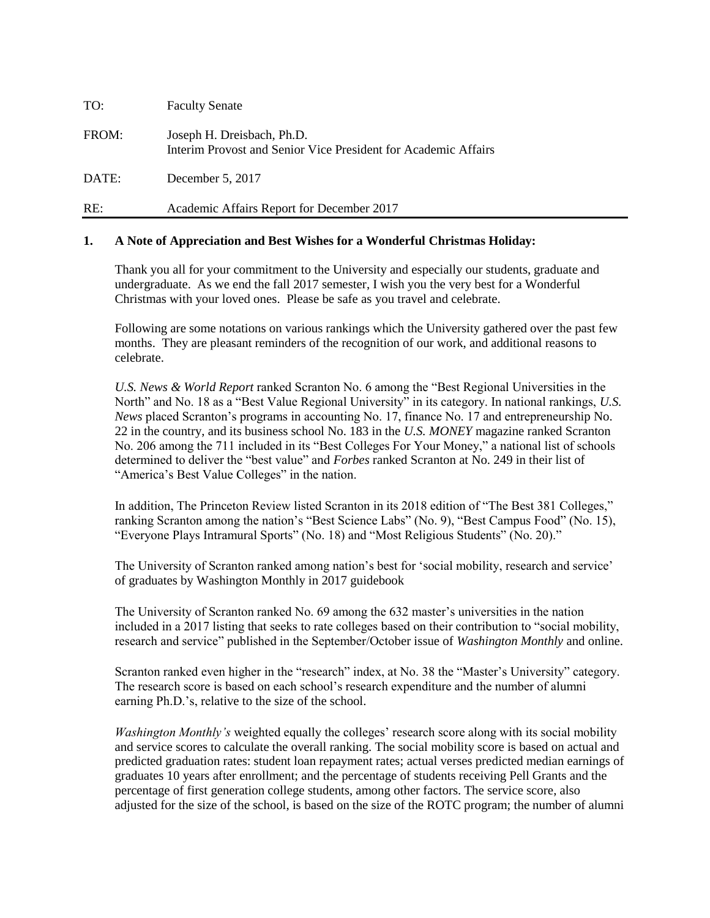| TO:   | <b>Faculty Senate</b>                                                                        |
|-------|----------------------------------------------------------------------------------------------|
| FROM: | Joseph H. Dreisbach, Ph.D.<br>Interim Provost and Senior Vice President for Academic Affairs |
| DATE: | December 5, 2017                                                                             |
| RE:   | Academic Affairs Report for December 2017                                                    |

## **1. A Note of Appreciation and Best Wishes for a Wonderful Christmas Holiday:**

Thank you all for your commitment to the University and especially our students, graduate and undergraduate. As we end the fall 2017 semester, I wish you the very best for a Wonderful Christmas with your loved ones. Please be safe as you travel and celebrate.

Following are some notations on various rankings which the University gathered over the past few months. They are pleasant reminders of the recognition of our work, and additional reasons to celebrate.

*U.S. News & World Report* ranked Scranton No. 6 among the "Best Regional Universities in the North" and No. 18 as a "Best Value Regional University" in its category. In national rankings, *U.S. News* placed Scranton's programs in accounting No. 17, finance No. 17 and entrepreneurship No. 22 in the country, and its business school No. 183 in the *U.S. MONEY* magazine ranked Scranton No. 206 among the 711 included in its "Best Colleges For Your Money," a national list of schools determined to deliver the "best value" and *Forbes* ranked Scranton at No. 249 in their list of "America's Best Value Colleges" in the nation.

In addition, The Princeton Review listed Scranton in its 2018 edition of "The Best 381 Colleges," ranking Scranton among the nation's "Best Science Labs" (No. 9), "Best Campus Food" (No. 15), "Everyone Plays Intramural Sports" (No. 18) and "Most Religious Students" (No. 20)."

The University of Scranton ranked among nation's best for 'social mobility, research and service' of graduates by Washington Monthly in 2017 guidebook

The University of Scranton ranked No. 69 among the 632 master's universities in the nation included in a 2017 listing that seeks to rate colleges based on their contribution to "social mobility, research and service" published in the September/October issue of *Washington Monthly* and online.

Scranton ranked even higher in the "research" index, at No. 38 the "Master's University" category. The research score is based on each school's research expenditure and the number of alumni earning Ph.D.'s, relative to the size of the school.

*Washington Monthly's* weighted equally the colleges' research score along with its social mobility and service scores to calculate the overall ranking. The social mobility score is based on actual and predicted graduation rates: student loan repayment rates; actual verses predicted median earnings of graduates 10 years after enrollment; and the percentage of students receiving Pell Grants and the percentage of first generation college students, among other factors. The service score, also adjusted for the size of the school, is based on the size of the ROTC program; the number of alumni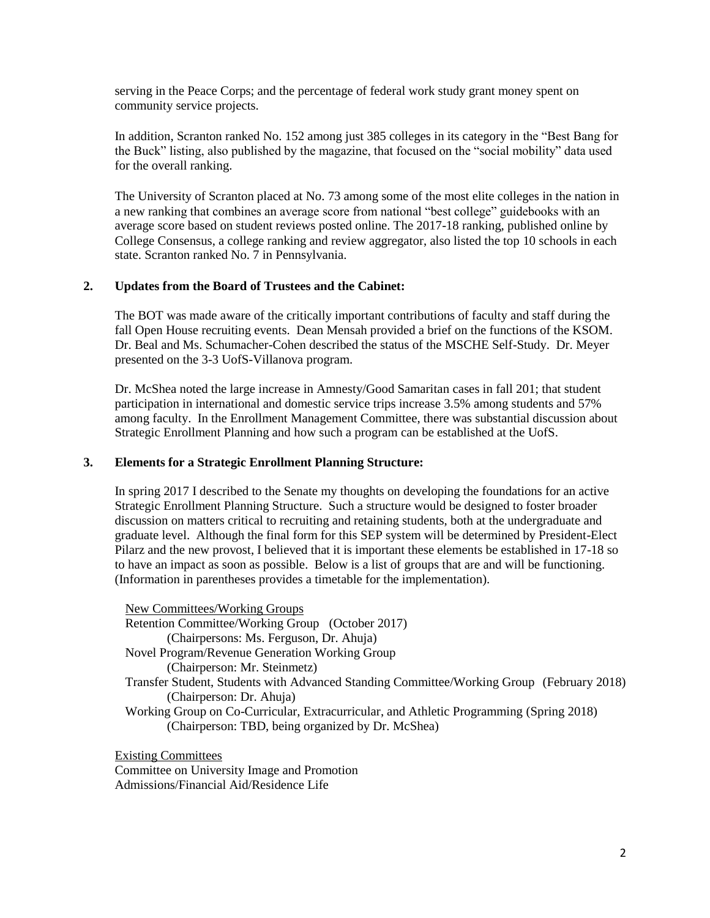serving in the Peace Corps; and the percentage of federal work study grant money spent on community service projects.

In addition, Scranton ranked No. 152 among just 385 colleges in its category in the "Best Bang for the Buck" listing, also published by the magazine, that focused on the "social mobility" data used for the overall ranking.

The University of Scranton placed at No. 73 among some of the most elite colleges in the nation in a new ranking that combines an average score from national "best college" guidebooks with an average score based on student reviews posted online. The 2017-18 ranking, published online by College Consensus, a college ranking and review aggregator, also listed the top 10 schools in each state. Scranton ranked No. 7 in Pennsylvania.

## **2. Updates from the Board of Trustees and the Cabinet:**

The BOT was made aware of the critically important contributions of faculty and staff during the fall Open House recruiting events. Dean Mensah provided a brief on the functions of the KSOM. Dr. Beal and Ms. Schumacher-Cohen described the status of the MSCHE Self-Study. Dr. Meyer presented on the 3-3 UofS-Villanova program.

Dr. McShea noted the large increase in Amnesty/Good Samaritan cases in fall 201; that student participation in international and domestic service trips increase 3.5% among students and 57% among faculty. In the Enrollment Management Committee, there was substantial discussion about Strategic Enrollment Planning and how such a program can be established at the UofS.

#### **3. Elements for a Strategic Enrollment Planning Structure:**

In spring 2017 I described to the Senate my thoughts on developing the foundations for an active Strategic Enrollment Planning Structure. Such a structure would be designed to foster broader discussion on matters critical to recruiting and retaining students, both at the undergraduate and graduate level. Although the final form for this SEP system will be determined by President-Elect Pilarz and the new provost, I believed that it is important these elements be established in 17-18 so to have an impact as soon as possible. Below is a list of groups that are and will be functioning. (Information in parentheses provides a timetable for the implementation).

New Committees/Working Groups Retention Committee/Working Group (October 2017) (Chairpersons: Ms. Ferguson, Dr. Ahuja) Novel Program/Revenue Generation Working Group (Chairperson: Mr. Steinmetz) Transfer Student, Students with Advanced Standing Committee/Working Group (February 2018) (Chairperson: Dr. Ahuja) Working Group on Co-Curricular, Extracurricular, and Athletic Programming (Spring 2018) (Chairperson: TBD, being organized by Dr. McShea)

Existing Committees Committee on University Image and Promotion Admissions/Financial Aid/Residence Life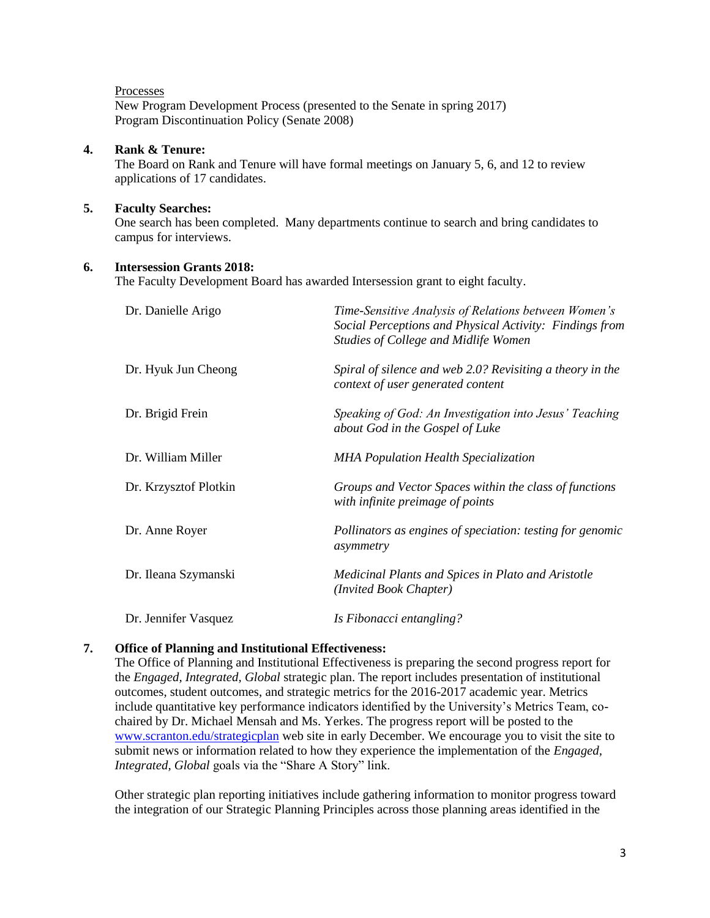#### Processes

New Program Development Process (presented to the Senate in spring 2017) Program Discontinuation Policy (Senate 2008)

## **4. Rank & Tenure:**

The Board on Rank and Tenure will have formal meetings on January 5, 6, and 12 to review applications of 17 candidates.

### **5. Faculty Searches:**

One search has been completed. Many departments continue to search and bring candidates to campus for interviews.

## **6. Intersession Grants 2018:**

The Faculty Development Board has awarded Intersession grant to eight faculty.

| Dr. Danielle Arigo    | Time-Sensitive Analysis of Relations between Women's<br>Social Perceptions and Physical Activity: Findings from<br><b>Studies of College and Midlife Women</b> |
|-----------------------|----------------------------------------------------------------------------------------------------------------------------------------------------------------|
| Dr. Hyuk Jun Cheong   | Spiral of silence and web 2.0? Revisiting a theory in the<br>context of user generated content                                                                 |
| Dr. Brigid Frein      | Speaking of God: An Investigation into Jesus' Teaching<br>about God in the Gospel of Luke                                                                      |
| Dr. William Miller    | <b>MHA Population Health Specialization</b>                                                                                                                    |
| Dr. Krzysztof Plotkin | Groups and Vector Spaces within the class of functions<br>with infinite preimage of points                                                                     |
| Dr. Anne Royer        | Pollinators as engines of speciation: testing for genomic<br>asymmetry                                                                                         |
| Dr. Ileana Szymanski  | Medicinal Plants and Spices in Plato and Aristotle<br>(Invited Book Chapter)                                                                                   |
| Dr. Jennifer Vasquez  | Is Fibonacci entangling?                                                                                                                                       |

## **7. Office of Planning and Institutional Effectiveness:**

The Office of Planning and Institutional Effectiveness is preparing the second progress report for the *Engaged, Integrated, Global* strategic plan. The report includes presentation of institutional outcomes, student outcomes, and strategic metrics for the 2016-2017 academic year. Metrics include quantitative key performance indicators identified by the University's Metrics Team, cochaired by Dr. Michael Mensah and Ms. Yerkes. The progress report will be posted to the [www.scranton.edu/strategicplan](http://www.scranton.edu/strategicplan) web site in early December. We encourage you to visit the site to submit news or information related to how they experience the implementation of the *Engaged, Integrated, Global* goals via the "Share A Story" link.

Other strategic plan reporting initiatives include gathering information to monitor progress toward the integration of our Strategic Planning Principles across those planning areas identified in the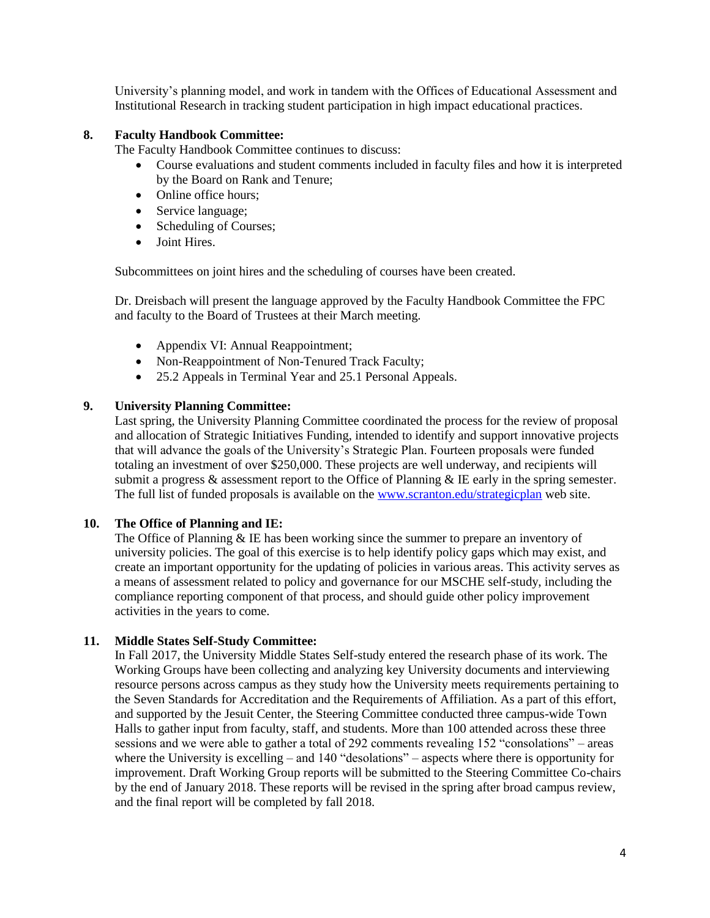University's planning model, and work in tandem with the Offices of Educational Assessment and Institutional Research in tracking student participation in high impact educational practices.

## **8. Faculty Handbook Committee:**

The Faculty Handbook Committee continues to discuss:

- Course evaluations and student comments included in faculty files and how it is interpreted by the Board on Rank and Tenure;
- Online office hours:
- Service language;
- Scheduling of Courses;
- Joint Hires.

Subcommittees on joint hires and the scheduling of courses have been created.

Dr. Dreisbach will present the language approved by the Faculty Handbook Committee the FPC and faculty to the Board of Trustees at their March meeting.

- Appendix VI: Annual Reappointment;
- Non-Reappointment of Non-Tenured Track Faculty;
- 25.2 Appeals in Terminal Year and 25.1 Personal Appeals.

## **9. University Planning Committee:**

Last spring, the University Planning Committee coordinated the process for the review of proposal and allocation of Strategic Initiatives Funding, intended to identify and support innovative projects that will advance the goals of the University's Strategic Plan. Fourteen proposals were funded totaling an investment of over \$250,000. These projects are well underway, and recipients will submit a progress  $\&$  assessment report to the Office of Planning  $\&$  IE early in the spring semester. The full list of funded proposals is available on the [www.scranton.edu/strategicplan](http://www.scranton.edu/strategicplan) web site.

# **10. The Office of Planning and IE:**

The Office of Planning & IE has been working since the summer to prepare an inventory of university policies. The goal of this exercise is to help identify policy gaps which may exist, and create an important opportunity for the updating of policies in various areas. This activity serves as a means of assessment related to policy and governance for our MSCHE self-study, including the compliance reporting component of that process, and should guide other policy improvement activities in the years to come.

# **11. Middle States Self-Study Committee:**

In Fall 2017, the University Middle States Self-study entered the research phase of its work. The Working Groups have been collecting and analyzing key University documents and interviewing resource persons across campus as they study how the University meets requirements pertaining to the Seven Standards for Accreditation and the Requirements of Affiliation. As a part of this effort, and supported by the Jesuit Center, the Steering Committee conducted three campus-wide Town Halls to gather input from faculty, staff, and students. More than 100 attended across these three sessions and we were able to gather a total of 292 comments revealing 152 "consolations" – areas where the University is excelling – and 140 "desolations" – aspects where there is opportunity for improvement. Draft Working Group reports will be submitted to the Steering Committee Co-chairs by the end of January 2018. These reports will be revised in the spring after broad campus review, and the final report will be completed by fall 2018.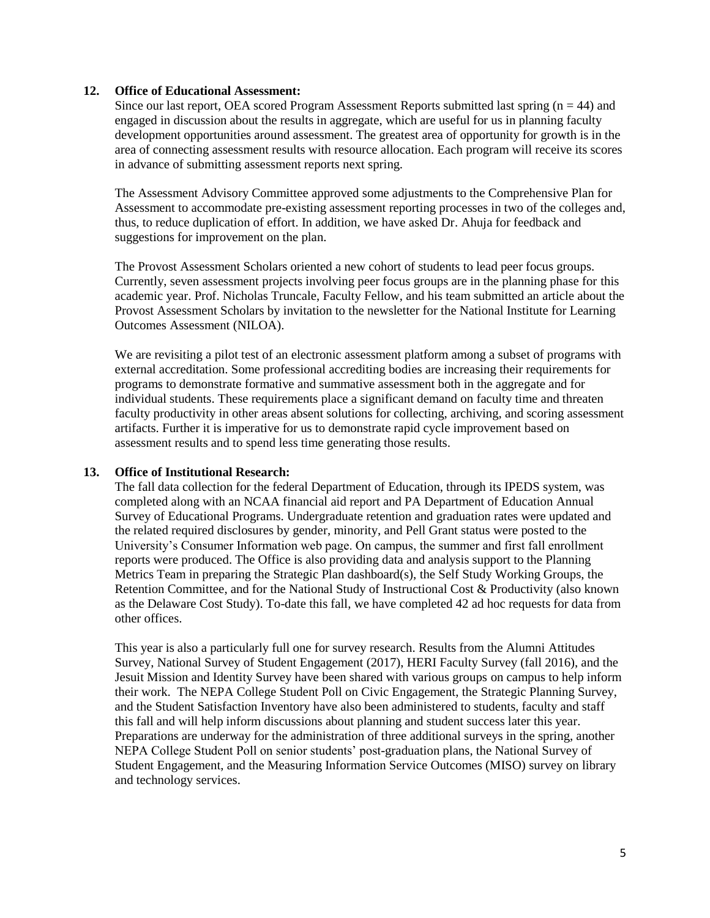### **12. Office of Educational Assessment:**

Since our last report, OEA scored Program Assessment Reports submitted last spring  $(n = 44)$  and engaged in discussion about the results in aggregate, which are useful for us in planning faculty development opportunities around assessment. The greatest area of opportunity for growth is in the area of connecting assessment results with resource allocation. Each program will receive its scores in advance of submitting assessment reports next spring.

The Assessment Advisory Committee approved some adjustments to the Comprehensive Plan for Assessment to accommodate pre-existing assessment reporting processes in two of the colleges and, thus, to reduce duplication of effort. In addition, we have asked Dr. Ahuja for feedback and suggestions for improvement on the plan.

The Provost Assessment Scholars oriented a new cohort of students to lead peer focus groups. Currently, seven assessment projects involving peer focus groups are in the planning phase for this academic year. Prof. Nicholas Truncale, Faculty Fellow, and his team submitted an article about the Provost Assessment Scholars by invitation to the newsletter for the National Institute for Learning Outcomes Assessment (NILOA).

We are revisiting a pilot test of an electronic assessment platform among a subset of programs with external accreditation. Some professional accrediting bodies are increasing their requirements for programs to demonstrate formative and summative assessment both in the aggregate and for individual students. These requirements place a significant demand on faculty time and threaten faculty productivity in other areas absent solutions for collecting, archiving, and scoring assessment artifacts. Further it is imperative for us to demonstrate rapid cycle improvement based on assessment results and to spend less time generating those results.

## **13. Office of Institutional Research:**

The fall data collection for the federal Department of Education, through its IPEDS system, was completed along with an NCAA financial aid report and PA Department of Education Annual Survey of Educational Programs. Undergraduate retention and graduation rates were updated and the related required disclosures by gender, minority, and Pell Grant status were posted to the University's Consumer Information web page. On campus, the summer and first fall enrollment reports were produced. The Office is also providing data and analysis support to the Planning Metrics Team in preparing the Strategic Plan dashboard(s), the Self Study Working Groups, the Retention Committee, and for the National Study of Instructional Cost & Productivity (also known as the Delaware Cost Study). To-date this fall, we have completed 42 ad hoc requests for data from other offices.

This year is also a particularly full one for survey research. Results from the Alumni Attitudes Survey, National Survey of Student Engagement (2017), HERI Faculty Survey (fall 2016), and the Jesuit Mission and Identity Survey have been shared with various groups on campus to help inform their work. The NEPA College Student Poll on Civic Engagement, the Strategic Planning Survey, and the Student Satisfaction Inventory have also been administered to students, faculty and staff this fall and will help inform discussions about planning and student success later this year. Preparations are underway for the administration of three additional surveys in the spring, another NEPA College Student Poll on senior students' post-graduation plans, the National Survey of Student Engagement, and the Measuring Information Service Outcomes (MISO) survey on library and technology services.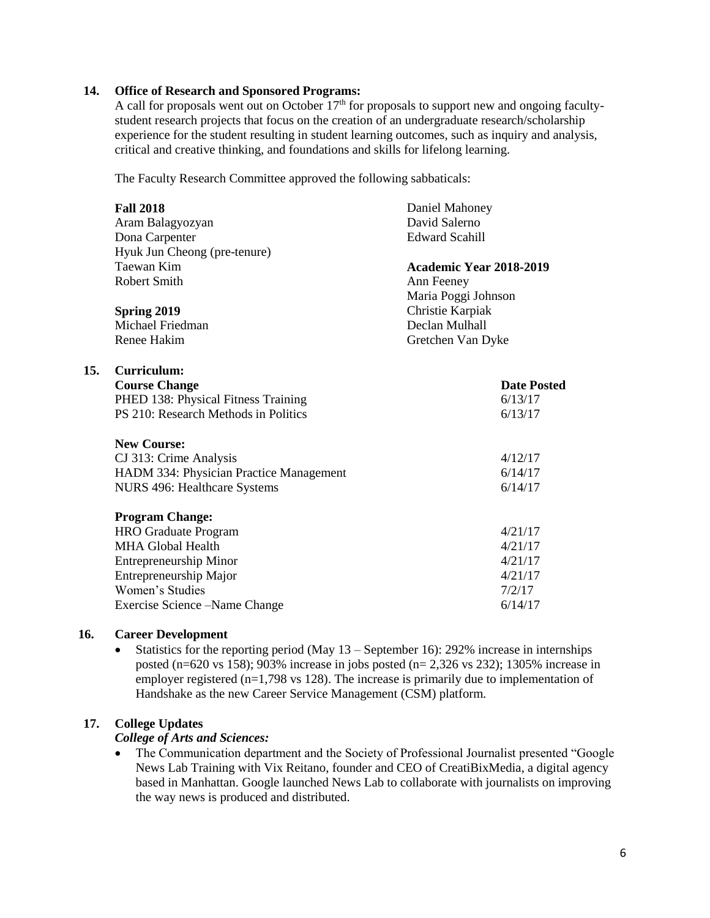### **14. Office of Research and Sponsored Programs:**

A call for proposals went out on October  $17<sup>th</sup>$  for proposals to support new and ongoing facultystudent research projects that focus on the creation of an undergraduate research/scholarship experience for the student resulting in student learning outcomes, such as inquiry and analysis, critical and creative thinking, and foundations and skills for lifelong learning.

The Faculty Research Committee approved the following sabbaticals:

| <b>Fall 2018</b>                        | Daniel Mahoney          |  |
|-----------------------------------------|-------------------------|--|
| Aram Balagyozyan                        | David Salerno           |  |
| Dona Carpenter                          | <b>Edward Scahill</b>   |  |
| Hyuk Jun Cheong (pre-tenure)            |                         |  |
| Taewan Kim                              | Academic Year 2018-2019 |  |
| <b>Robert Smith</b>                     | Ann Feeney              |  |
|                                         | Maria Poggi Johnson     |  |
| Spring 2019                             | Christie Karpiak        |  |
| Michael Friedman                        | Declan Mulhall          |  |
| Renee Hakim                             | Gretchen Van Dyke       |  |
|                                         |                         |  |
| Curriculum:                             |                         |  |
| <b>Course Change</b>                    | <b>Date Posted</b>      |  |
| PHED 138: Physical Fitness Training     | 6/13/17                 |  |
| PS 210: Research Methods in Politics    | 6/13/17                 |  |
| <b>New Course:</b>                      |                         |  |
| CJ 313: Crime Analysis                  | 4/12/17                 |  |
| HADM 334: Physician Practice Management | 6/14/17                 |  |
| NURS 496: Healthcare Systems            | 6/14/17                 |  |
|                                         |                         |  |
| <b>Program Change:</b>                  |                         |  |
| <b>HRO</b> Graduate Program             | 4/21/17                 |  |
| <b>MHA Global Health</b>                | 4/21/17                 |  |
| <b>Entrepreneurship Minor</b>           | 4/21/17                 |  |
| Entrepreneurship Major                  | 4/21/17                 |  |
| Women's Studies                         | 7/2/17                  |  |
| Exercise Science – Name Change          | 6/14/17                 |  |

#### **16. Career Development**

**15.** 

• Statistics for the reporting period (May  $13$  – September 16): 292% increase in internships posted (n=620 vs 158); 903% increase in jobs posted (n= 2,326 vs 232); 1305% increase in employer registered (n=1,798 vs 128). The increase is primarily due to implementation of Handshake as the new Career Service Management (CSM) platform.

## **17. College Updates**

#### *College of Arts and Sciences:*

• The Communication department and the Society of Professional Journalist presented "Google" News Lab Training with Vix Reitano, founder and CEO of CreatiBixMedia, a digital agency based in Manhattan. Google launched News Lab to collaborate with journalists on improving the way news is produced and distributed.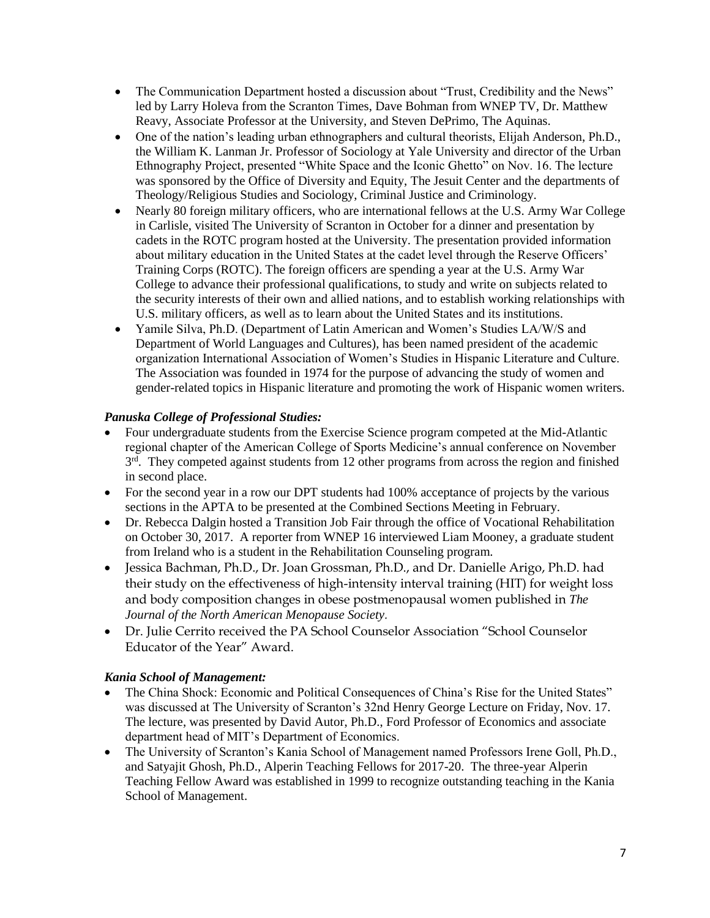- The Communication Department hosted a discussion about "Trust, Credibility and the News" led by Larry Holeva from the Scranton Times, Dave Bohman from WNEP TV, Dr. Matthew Reavy, Associate Professor at the University, and Steven DePrimo, The Aquinas.
- One of the nation's leading urban ethnographers and cultural theorists, Elijah Anderson, Ph.D., the William K. Lanman Jr. Professor of Sociology at Yale University and director of the Urban Ethnography Project, presented "White Space and the Iconic Ghetto" on Nov. 16. The lecture was sponsored by the Office of Diversity and Equity, The Jesuit Center and the departments of Theology/Religious Studies and Sociology, Criminal Justice and Criminology.
- Nearly 80 foreign military officers, who are international fellows at the U.S. Army War College in Carlisle, visited The University of Scranton in October for a dinner and presentation by cadets in the ROTC program hosted at the University. The presentation provided information about military education in the United States at the cadet level through the Reserve Officers' Training Corps (ROTC). The foreign officers are spending a year at the U.S. Army War College to advance their professional qualifications, to study and write on subjects related to the security interests of their own and allied nations, and to establish working relationships with U.S. military officers, as well as to learn about the United States and its institutions.
- Yamile Silva, Ph.D. (Department of Latin American and Women's Studies LA/W/S and Department of World Languages and Cultures), has been named president of the academic organization International Association of Women's Studies in Hispanic Literature and Culture. The Association was founded in 1974 for the purpose of advancing the study of women and gender-related topics in Hispanic literature and promoting the work of Hispanic women writers.

# *Panuska College of Professional Studies:*

- Four undergraduate students from the Exercise Science program competed at the Mid-Atlantic regional chapter of the American College of Sports Medicine's annual conference on November 3<sup>rd</sup>. They competed against students from 12 other programs from across the region and finished in second place.
- For the second year in a row our DPT students had 100% acceptance of projects by the various sections in the APTA to be presented at the Combined Sections Meeting in February.
- Dr. Rebecca Dalgin hosted a Transition Job Fair through the office of Vocational Rehabilitation on October 30, 2017. A reporter from WNEP 16 interviewed Liam Mooney, a graduate student from Ireland who is a student in the Rehabilitation Counseling program.
- Jessica Bachman, Ph.D., Dr. Joan Grossman, Ph.D., and Dr. Danielle Arigo, Ph.D. had their study on the effectiveness of high-intensity interval training (HIT) for weight loss and body composition changes in obese postmenopausal women published in *The Journal of the North American Menopause Society.*
- Dr. Julie Cerrito received the PA School Counselor Association "School Counselor Educator of the Year" Award.

# *Kania School of Management:*

- The China Shock: Economic and Political Consequences of China's Rise for the United States" was discussed at The University of Scranton's 32nd Henry George Lecture on Friday, Nov. 17. The lecture, was presented by David Autor, Ph.D., Ford Professor of Economics and associate department head of MIT's Department of Economics.
- The University of Scranton's Kania School of Management named Professors Irene Goll, Ph.D., and Satyajit Ghosh, Ph.D., Alperin Teaching Fellows for 2017-20. The three-year Alperin Teaching Fellow Award was established in 1999 to recognize outstanding teaching in the Kania School of Management.